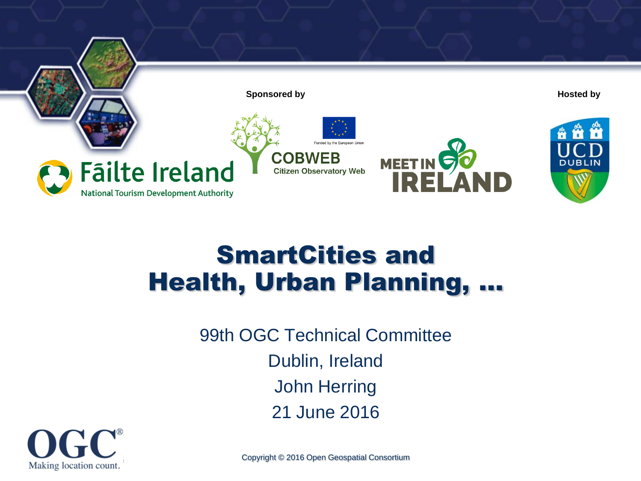

#### SmartCities and Health, Urban Planning, …

99th OGC Technical Committee Dublin, Ireland John Herring 21 June 2016



Copyright © 2016 Open Geospatial Consortium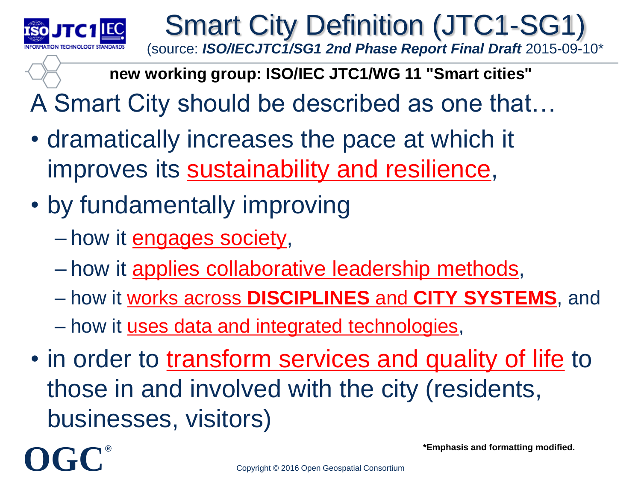

Smart City Definition (JTC1-SG1) (source: *ISO/IECJTC1/SG1 2nd Phase Report Final Draft* 2015-09-10\*

**new working group: ISO/IEC JTC1/WG 11 "Smart cities"**

A Smart City should be described as one that…

- dramatically increases the pace at which it improves its **sustainability and resilience**,
- by fundamentally improving
	- how it engages society,
	- how it applies collaborative leadership methods,
	- how it works across **DISCIPLINES** and **CITY SYSTEMS**, and
	- how it uses data and integrated technologies,
- in order to transform services and quality of life to those in and involved with the city (residents, businesses, visitors)

**OGC®**

**\*Emphasis and formatting modified.**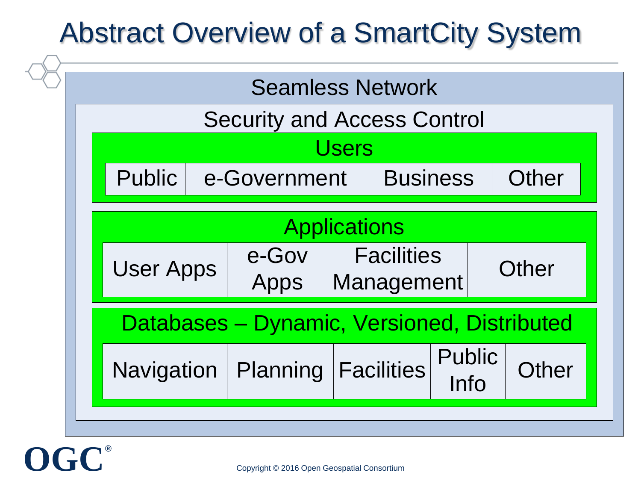## Abstract Overview of a SmartCity System



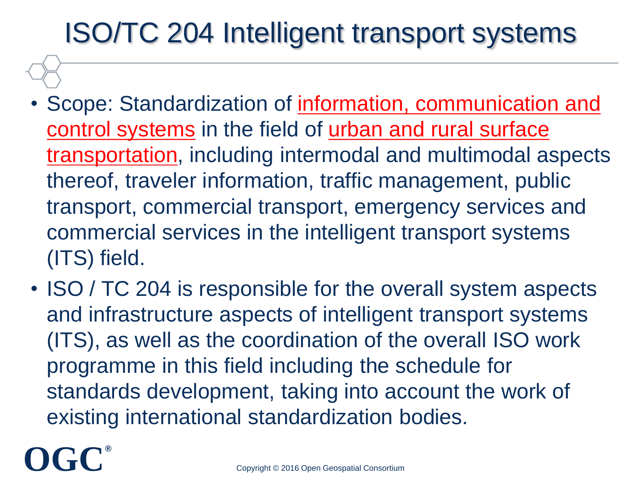## ISO/TC 204 Intelligent transport systems

- Scope: Standardization of information, communication and control systems in the field of urban and rural surface transportation, including intermodal and multimodal aspects thereof, traveler information, traffic management, public transport, commercial transport, emergency services and commercial services in the intelligent transport systems (ITS) field.
- ISO / TC 204 is responsible for the overall system aspects and infrastructure aspects of intelligent transport systems (ITS), as well as the coordination of the overall ISO work programme in this field including the schedule for standards development, taking into account the work of existing international standardization bodies.

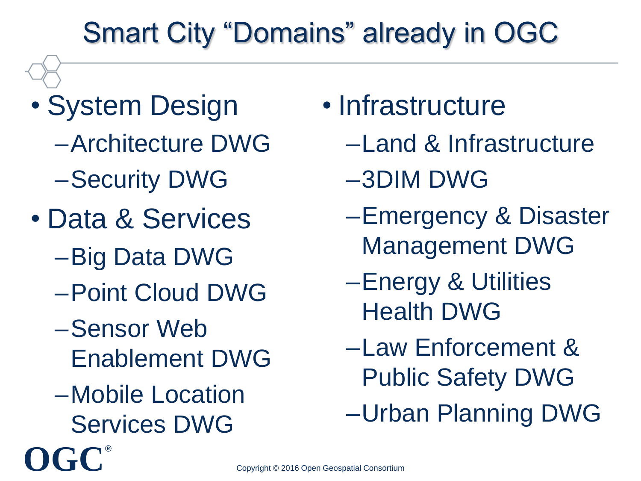# Smart City "Domains" already in OGC

- System Design –Architecture DWG –Security DWG
- Data & Services
	- –Big Data DWG
	- –Point Cloud DWG
	- –Sensor Web Enablement DWG
	- –Mobile Location Services DWG

**OGC®**

- Infrastructure
	- –Land & Infrastructure
	- –3DIM DWG
	- –Emergency & Disaster Management DWG
	- –Energy & Utilities Health DWG
	- –Law Enforcement & Public Safety DWG
	- –Urban Planning DWG